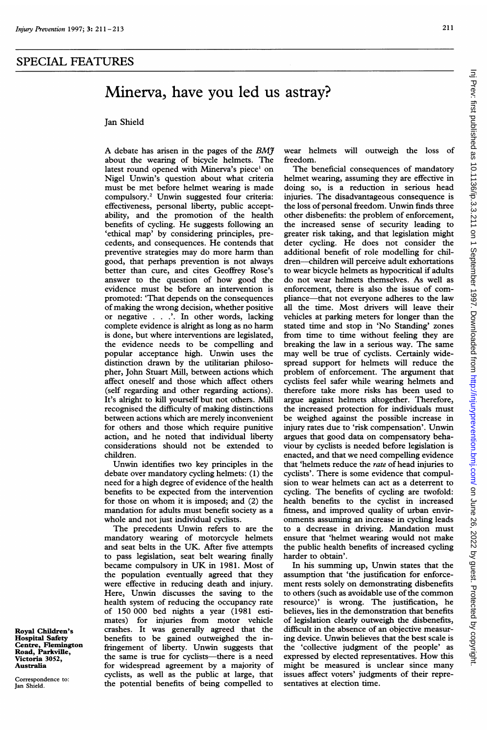### SPECIAL FEATURES

# Minerva, have you led us astray?

### Jan Shield

A debate has arisen in the pages of the BM7 about the wearing of bicycle helmets. The latest round opened with Minerva's piece' on Nigel Unwin's question about what criteria must be met before helmet wearing is made compulsory.2 Unwin suggested four criteria: effectiveness, personal liberty, public acceptability, and the promotion of the health benefits of cycling. He suggests following an 'ethical map' by considering principles, precedents, and consequences. He contends that preventive strategies may do more harm than good, that perhaps prevention is not always better than cure, and cites Geoffrey Rose's answer to the question of how good the evidence must be before an intervention is promoted: 'That depends on the consequences of making the wrong decision, whether positive or negative . . .'. In other words, lacking complete evidence is alright as long as no harm is done, but where interventions are legislated, the evidence needs to be compelling and popular acceptance high. Unwin uses the distinction drawn by the utilitarian philosopher, John Stuart Mill, between actions which affect oneself and those which affect others (self regarding and other regarding actions). It's alright to kill yourself but not others. Mill recognised the difficulty of making distinctions between actions which are merely inconvenient for others and those which require punitive action, and he noted that individual liberty considerations should not be extended to children.

Unwin identifies two key principles in the debate over mandatory cycling helmets: (1) the need for a high degree of evidence of the health benefits to be expected from the intervention for those on whom it is imposed; and (2) the mandation for adults must benefit society as a whole and not just individual cyclists.

The precedents Unwin refers to are the mandatory wearing of motorcycle helmets and seat belts in the UK. After five attempts to pass legislation, seat belt wearing finally became compulsory in UK in 1981. Most of the population eventually agreed that they were effective in reducing death and injury. Here, Unwin discusses the saving to the health system of reducing the occupancy rate of 150 000 bed nights a year (1981 estimates) for injuries from motor vehicle crashes. It was generally agreed that the benefits to be gained outweighed the infringement of liberty. Unwin suggests that the same is true for cyclists-there is a need for widespread agreement by a majority of cyclists, as well as the public at large, that the potential benefits of being compelled to

wear helmets will outweigh the loss of freedom.

The beneficial consequences of mandatory helmet wearing, assuming they are effective in doing so, is a reduction in serious head injuries. The disadvantageous consequence is the loss of personal freedom. Unwin finds three other disbenefits: the problem of enforcement, the increased sense of security leading to greater risk taking, and that legislation might deter cycling. He does not consider the additional benefit of role modelling for children-children will perceive adult exhortations to wear bicycle helmets as hypocritical if adults do not wear helmets themselves. As well as enforcement, there is also the issue of compliance-that not everyone adheres to the law all the time. Most drivers will leave their vehicles at parking meters for longer than the stated time and stop in 'No Standing' zones from time to time without feeling they are breaking the law in a serious way. The same may well be true of cyclists. Certainly widespread support for helmets will reduce the problem of enforcement. The argument that cyclists feel safer while wearing helmets and therefore take more risks has been used to argue against helmets altogether. Therefore, the increased protection for individuals must be weighed against the possible increase in injury rates due to 'risk compensation'. Unwin argues that good data on compensatory behaviour by cyclists is needed before legislation is enacted, and that we need compelling evidence that 'helmets reduce the rate of head injuries to cyclists'. There is some evidence that compulsion to wear helmets can act as a deterrent to cycling. The benefits of cycling are twofold: health benefits to the cyclist in increased fitness, and improved quality of urban environments assuming an increase in cycling leads to a decrease in driving. Mandation must ensure that 'helmet wearing would not make the public health benefits of increased cycling harder to obtain'.

In his summing up, Unwin states that the assumption that 'the justification for enforcement rests solely on demonstrating disbenefits to others (such as avoidable use of the common resource)' is wrong. The justification, he believes, lies in the demonstration that benefits of legislation clearly outweigh the disbenefits, difficult in the absence of an objective measuring device. Unwin believes that the best scale is the 'collective judgment of the people' as expressed by elected representatives. How this might be measured is unclear since many issues affect voters' judgments of their representatives at election time.

Royal Children's Hospital Safety Centre, Flemington Road, Parkville, Victoria 3052, Australia

Correspondence to: Jan Shield.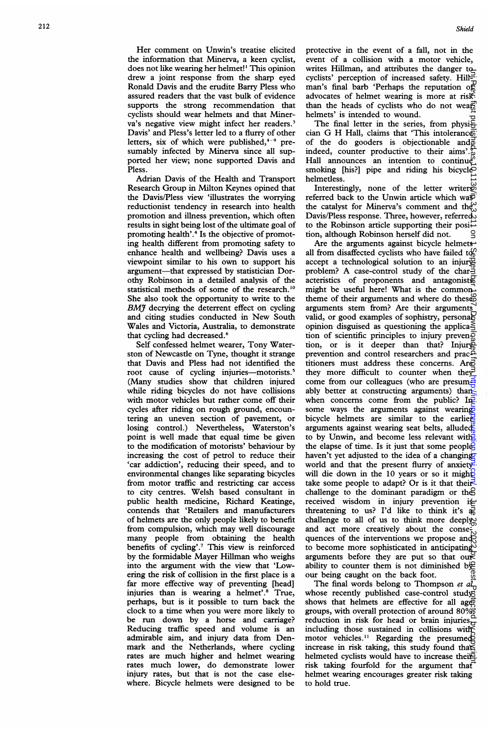Her comment on Unwin's treatise elicited the information that Minerva, a keen cyclist, does not like wearing her helmet!<sup>1</sup> This opinion drew a joint response from the sharp eyed Ronald Davis and the erudite Barry Pless who assured readers that the vast bulk of evidence supports the strong recommendation that cyclists should wear helmets and that Minerva's negative view might infect her readers.<sup>3</sup> Davis' and Pless's letter led to a flurry of other letters, six of which were published,<sup>4-9</sup> presumably infected by Minerva since all supported her view; none supported Davis and Pless.

Adrian Davis of the Health and Transport Research Group in Milton Keynes opined that the Davis/Pless view 'illustrates the worrying reductionist tendency in research into health promotion and illness prevention, which often results in sight being lost of the ultimate goal of promoting health'.4 Is the objective of promoting health different from promoting safety to enhance health and wellbeing? Davis uses a viewpoint similar to his own to support his argument-that expressed by statistician Dorothy Robinson in a detailed analysis of the statistical methods of some of the research.'0 She also took the opportunity to write to the BMJ decrying the deterrent effect on cycling and citing studies conducted in New South Wales and Victoria, Australia, to demonstrate that cycling had decreased.<sup>6</sup>

Self confessed helmet wearer, Tony Waterston of Newcastle on Tyne, thought it strange that Davis and Pless had not identified the root cause of cycling injuries-motorists. (Many studies show that children injured while riding bicycles do not have collisions with motor vehicles but rather come off their cycles after riding on rough ground, encountering an uneven section of pavement, or losing control.) Nevertheless, Waterston's point is well made that equal time be given to the modification of motorists' behaviour by increasing the cost of petrol to reduce their 'car addiction', reducing their speed, and to environmental changes like separating bicycles from motor traffic and restricting car access to city centres. Welsh based consultant in public health medicine, Richard Keatinge, contends that 'Retailers and manufacturers of helmets are the only people likely to benefit from compulsion, which may well discourage many people from obtaining the health benefits of cycling'.7 This view is reinforced by the formidable Mayer Hillman who weighs into the argument with the view that 'Lowering the risk of collision in the first place is a far more effective way of preventing [head] injuries than is wearing a helmet'.8 True, perhaps, but is it possible to turn back the clock to a time when you were more likely to be run down by a horse and carriage? Reducing traffic speed and volume is an admirable aim, and injury data from Denmark and the Netherlands, where cycling rates are much higher and helmet wearing rates much lower, do demonstrate lower injury rates, but that is not the case elsewhere. Bicycle helmets were designed to be

protective in the event of a fall, not in the event of a collision with a motor vehicle, writes Hillman, and attributes the danger to cyclists' perception of increased safety. Hillman's final barb 'Perhaps the reputation of advocates of helmet wearing is more at risk than the heads of cyclists who do not wears helmets' is intended to wound.

The final letter in the series, from physi $\in$ cian G H Hall, claims that 'This intolerance of the do gooders is objectionable and $\vec{p}$ indeed, counter productive to their aims' Hall announces an intention to continue smoking [his?] pipe and riding his bicycle $\overline{O}$ helmetless.

Interestingly, none of the letter writer referred back to the Unwin article which was the catalyst for Minerva's comment and the Davis/Pless response. Three, however, referred to the Robinson article supporting their position, although Robinson herself did not. ੂ

Are the arguments against bicycle helmets all from disaffected cyclists who have failed  $\text{td}^{\Omega}_{\text{D}}$ accept a technological solution to an injury problem? A case-control study of the char- $\frac{3}{2}$ acteristics of proponents and antagonist $\overline{\mathcal{S}}$ might be useful here! What is the common. theme of their arguments and where do these arguments stem from? Are their arguments valid, or good examples of sophistry, personal opinion disguised as questioning the applica $\xi$ tion of scientific principles to injury preven $\overline{Q}$ tion, or is it deeper than that? Injury prevention and control researchers and pracetitioners must address these concerns. Are they more difficult to counter when they come from our colleagues (who are presumably better at constructing arguments) than when concerns come from the public? Insome ways the arguments against wearing bicycle helmets are similar to the earliers arguments against wearing seat belts, alluded to by Unwin, and become less relevant with the elapse of time. Is it just that some people haven't yet adjusted to the idea of a changing world and that the present flurry of anxiety will die down in the 10 years or so it might take some people to adapt? Or is it that their challenge to the dominant paradigm or the received wisdom in injury prevention threatening to us? I'd like to think it's  $\overline{a}$ challenge to all of us to think more deeply and act more creatively about the consequences of the interventions we propose and to become more sophisticated in anticipating arguments before they are put so that our ability to counter them is not diminished b $\mathfrak{p}$ our being caught on the back foot. on June 2020 bay da June 2022 ay ar aw ar aw ar aw ar aw ar aw ar aw ar aw ar aw ar aw ar aw ar aw ar aw ar aw

The final words belong to Thompson et  $a\overline{I}_{\overline{D}}$ whose recently published case-control study? shows that helmets are effective for all aget groups, with overall protection of around 80% reduction in risk for head or brain injuries, including those sustained in collisions with motor vehicles.<sup>11</sup> Regarding the presumed increase in risk taking, this study found that helmeted cyclists would have to increase their risk taking fourfold for the argument that helmet wearing encourages greater risk taking to hold true.